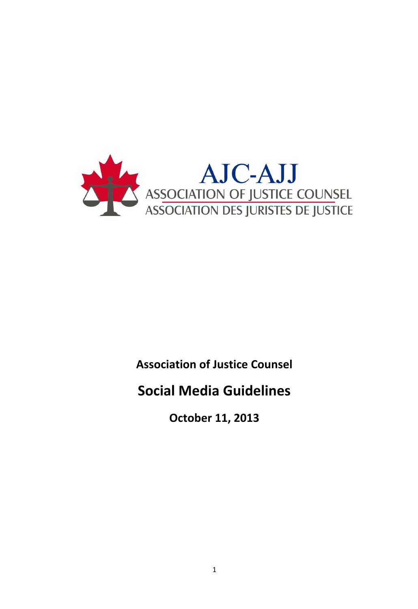

# **Association of Justice Counsel**

# **Social Media Guidelines**

**October 11, 2013**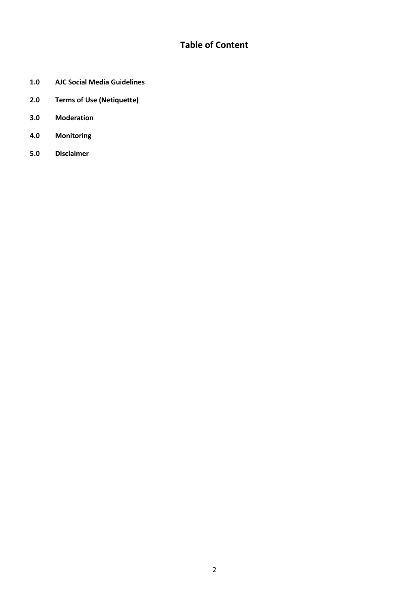## **Table of Content**

- **1.0 AJC Social Media Guidelines**
- **2.0 Terms of Use (Netiquette)**
- **3.0 Moderation**
- **4.0 Monitoring**
- **5.0 Disclaimer**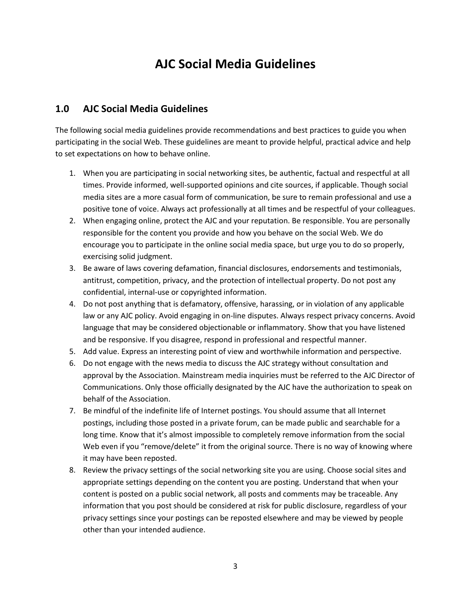## **AJC Social Media Guidelines**

#### **1.0 AJC Social Media Guidelines**

The following social media guidelines provide recommendations and best practices to guide you when participating in the social Web. These guidelines are meant to provide helpful, practical advice and help to set expectations on how to behave online.

- 1. When you are participating in social networking sites, be authentic, factual and respectful at all times. Provide informed, well-supported opinions and cite sources, if applicable. Though social media sites are a more casual form of communication, be sure to remain professional and use a positive tone of voice. Always act professionally at all times and be respectful of your colleagues.
- 2. When engaging online, protect the AJC and your reputation. Be responsible. You are personally responsible for the content you provide and how you behave on the social Web. We do encourage you to participate in the online social media space, but urge you to do so properly, exercising solid judgment.
- 3. Be aware of laws covering defamation, financial disclosures, endorsements and testimonials, antitrust, competition, privacy, and the protection of intellectual property. Do not post any confidential, internal-use or copyrighted information.
- 4. Do not post anything that is defamatory, offensive, harassing, or in violation of any applicable law or any AJC policy. Avoid engaging in on-line disputes. Always respect privacy concerns. Avoid language that may be considered objectionable or inflammatory. Show that you have listened and be responsive. If you disagree, respond in professional and respectful manner.
- 5. Add value. Express an interesting point of view and worthwhile information and perspective.
- 6. Do not engage with the news media to discuss the AJC strategy without consultation and approval by the Association. Mainstream media inquiries must be referred to the AJC Director of Communications. Only those officially designated by the AJC have the authorization to speak on behalf of the Association.
- 7. Be mindful of the indefinite life of Internet postings. You should assume that all Internet postings, including those posted in a private forum, can be made public and searchable for a long time. Know that it's almost impossible to completely remove information from the social Web even if you "remove/delete" it from the original source. There is no way of knowing where it may have been reposted.
- 8. Review the privacy settings of the social networking site you are using. Choose social sites and appropriate settings depending on the content you are posting. Understand that when your content is posted on a public social network, all posts and comments may be traceable. Any information that you post should be considered at risk for public disclosure, regardless of your privacy settings since your postings can be reposted elsewhere and may be viewed by people other than your intended audience.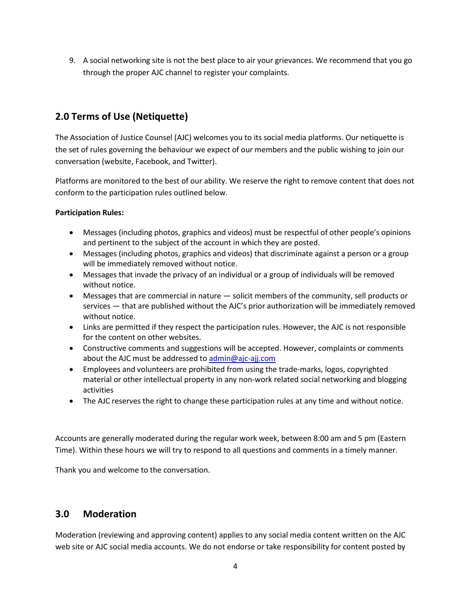9. A social networking site is not the best place to air your grievances. We recommend that you go through the proper AJC channel to register your complaints.

## **2.0 Terms of Use (Netiquette)**

The Association of Justice Counsel (AJC) welcomes you to its social media platforms. Our netiquette is the set of rules governing the behaviour we expect of our members and the public wishing to join our conversation (website, Facebook, and Twitter).

Platforms are monitored to the best of our ability. We reserve the right to remove content that does not conform to the participation rules outlined below.

#### **Participation Rules:**

- Messages (including photos, graphics and videos) must be respectful of other people's opinions and pertinent to the subject of the account in which they are posted.
- Messages (including photos, graphics and videos) that discriminate against a person or a group will be immediately removed without notice.
- Messages that invade the privacy of an individual or a group of individuals will be removed without notice.
- Messages that are commercial in nature solicit members of the community, sell products or services — that are published without the AJC's prior authorization will be immediately removed without notice.
- Links are permitted if they respect the participation rules. However, the AJC is not responsible for the content on other websites.
- Constructive comments and suggestions will be accepted. However, complaints or comments about the AJC must be addressed t[o admin@ajc-ajj.com](mailto:ajcadmin@ajcc-ajj.ca)
- Employees and volunteers are prohibited from using the trade-marks, logos, copyrighted material or other intellectual property in any non-work related social networking and blogging activities
- The AJC reserves the right to change these participation rules at any time and without notice.

Accounts are generally moderated during the regular work week, between 8:00 am and 5 pm (Eastern Time). Within these hours we will try to respond to all questions and comments in a timely manner.

Thank you and welcome to the conversation.

## **3.0 Moderation**

Moderation (reviewing and approving content) applies to any social media content written on the AJC web site or AJC social media accounts. We do not endorse or take responsibility for content posted by